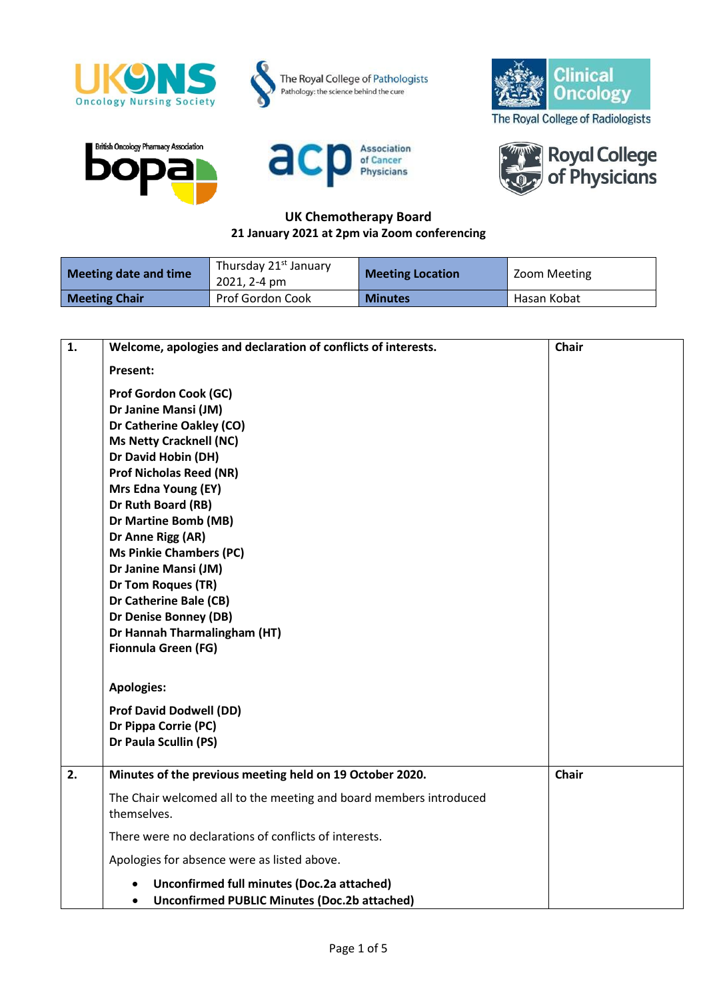











## **UK Chemotherapy Board 21 January 2021 at 2pm via Zoom conferencing**

| Meeting date and time | Thursday 21 <sup>st</sup> January<br>2021, 2-4 pm | <b>Meeting Location</b> | Zoom Meeting |
|-----------------------|---------------------------------------------------|-------------------------|--------------|
| <b>Meeting Chair</b>  | Prof Gordon Cook                                  | <b>Minutes</b>          | Hasan Kobat  |

| $\mathbf{1}$ . | Welcome, apologies and declaration of conflicts of interests.                                                  | <b>Chair</b> |
|----------------|----------------------------------------------------------------------------------------------------------------|--------------|
|                | <b>Present:</b>                                                                                                |              |
|                | <b>Prof Gordon Cook (GC)</b>                                                                                   |              |
|                | Dr Janine Mansi (JM)                                                                                           |              |
|                | Dr Catherine Oakley (CO)                                                                                       |              |
|                | <b>Ms Netty Cracknell (NC)</b>                                                                                 |              |
|                | Dr David Hobin (DH)                                                                                            |              |
|                | <b>Prof Nicholas Reed (NR)</b>                                                                                 |              |
|                | Mrs Edna Young (EY)                                                                                            |              |
|                | Dr Ruth Board (RB)                                                                                             |              |
|                | Dr Martine Bomb (MB)                                                                                           |              |
|                | Dr Anne Rigg (AR)                                                                                              |              |
|                | <b>Ms Pinkie Chambers (PC)</b>                                                                                 |              |
|                | Dr Janine Mansi (JM)                                                                                           |              |
|                | Dr Tom Roques (TR)                                                                                             |              |
|                | Dr Catherine Bale (CB)                                                                                         |              |
|                | Dr Denise Bonney (DB)                                                                                          |              |
|                | Dr Hannah Tharmalingham (HT)                                                                                   |              |
|                | Fionnula Green (FG)                                                                                            |              |
|                |                                                                                                                |              |
|                | <b>Apologies:</b>                                                                                              |              |
|                | <b>Prof David Dodwell (DD)</b>                                                                                 |              |
|                | Dr Pippa Corrie (PC)                                                                                           |              |
|                | Dr Paula Scullin (PS)                                                                                          |              |
|                |                                                                                                                |              |
| 2.             | Minutes of the previous meeting held on 19 October 2020.                                                       | <b>Chair</b> |
|                | The Chair welcomed all to the meeting and board members introduced                                             |              |
|                | themselves.                                                                                                    |              |
|                | There were no declarations of conflicts of interests.                                                          |              |
|                | Apologies for absence were as listed above.                                                                    |              |
|                | Unconfirmed full minutes (Doc.2a attached)<br><b>Unconfirmed PUBLIC Minutes (Doc.2b attached)</b><br>$\bullet$ |              |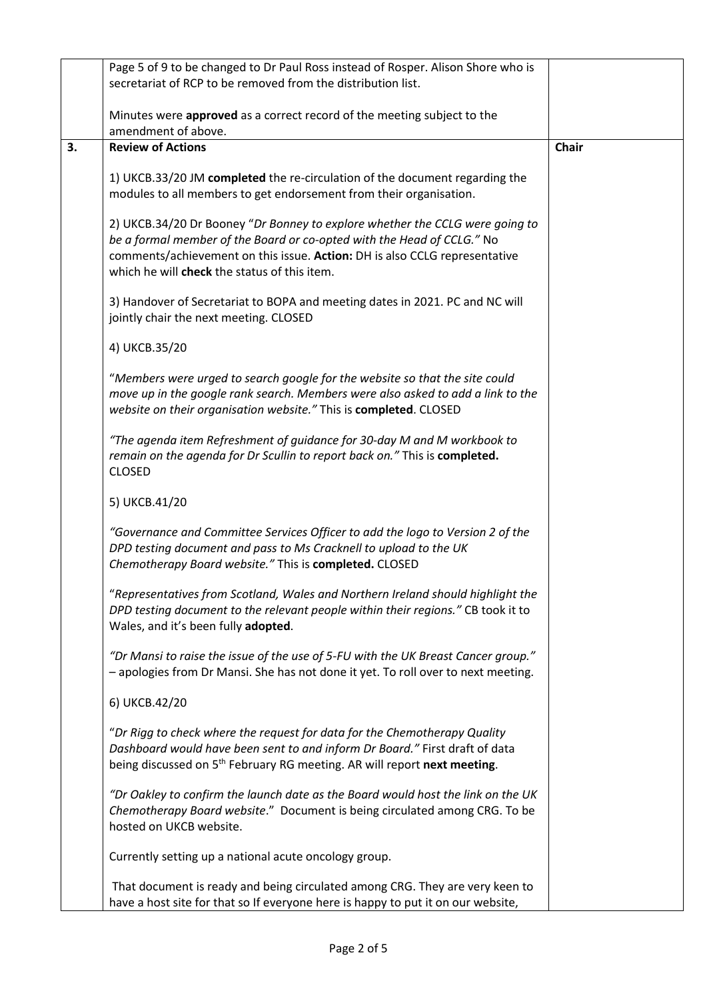|    | Page 5 of 9 to be changed to Dr Paul Ross instead of Rosper. Alison Shore who is                                                                                                                                                                                                     |              |
|----|--------------------------------------------------------------------------------------------------------------------------------------------------------------------------------------------------------------------------------------------------------------------------------------|--------------|
|    | secretariat of RCP to be removed from the distribution list.                                                                                                                                                                                                                         |              |
|    | Minutes were approved as a correct record of the meeting subject to the                                                                                                                                                                                                              |              |
|    | amendment of above.                                                                                                                                                                                                                                                                  |              |
| 3. | <b>Review of Actions</b>                                                                                                                                                                                                                                                             | <b>Chair</b> |
|    | 1) UKCB.33/20 JM completed the re-circulation of the document regarding the<br>modules to all members to get endorsement from their organisation.                                                                                                                                    |              |
|    | 2) UKCB.34/20 Dr Booney "Dr Bonney to explore whether the CCLG were going to<br>be a formal member of the Board or co-opted with the Head of CCLG." No<br>comments/achievement on this issue. Action: DH is also CCLG representative<br>which he will check the status of this item. |              |
|    | 3) Handover of Secretariat to BOPA and meeting dates in 2021. PC and NC will<br>jointly chair the next meeting. CLOSED                                                                                                                                                               |              |
|    | 4) UKCB.35/20                                                                                                                                                                                                                                                                        |              |
|    | "Members were urged to search google for the website so that the site could<br>move up in the google rank search. Members were also asked to add a link to the<br>website on their organisation website." This is completed. CLOSED                                                  |              |
|    | "The agenda item Refreshment of guidance for 30-day M and M workbook to<br>remain on the agenda for Dr Scullin to report back on." This is completed.<br><b>CLOSED</b>                                                                                                               |              |
|    | 5) UKCB.41/20                                                                                                                                                                                                                                                                        |              |
|    | "Governance and Committee Services Officer to add the logo to Version 2 of the<br>DPD testing document and pass to Ms Cracknell to upload to the UK<br>Chemotherapy Board website." This is completed. CLOSED                                                                        |              |
|    | "Representatives from Scotland, Wales and Northern Ireland should highlight the<br>DPD testing document to the relevant people within their regions." CB took it to<br>Wales, and it's been fully adopted.                                                                           |              |
|    | "Dr Mansi to raise the issue of the use of 5-FU with the UK Breast Cancer group."<br>- apologies from Dr Mansi. She has not done it yet. To roll over to next meeting.                                                                                                               |              |
|    | 6) UKCB.42/20                                                                                                                                                                                                                                                                        |              |
|    | "Dr Rigg to check where the request for data for the Chemotherapy Quality<br>Dashboard would have been sent to and inform Dr Board." First draft of data<br>being discussed on 5 <sup>th</sup> February RG meeting. AR will report next meeting.                                     |              |
|    | "Dr Oakley to confirm the launch date as the Board would host the link on the UK<br>Chemotherapy Board website." Document is being circulated among CRG. To be<br>hosted on UKCB website.                                                                                            |              |
|    | Currently setting up a national acute oncology group.                                                                                                                                                                                                                                |              |
|    | That document is ready and being circulated among CRG. They are very keen to<br>have a host site for that so If everyone here is happy to put it on our website,                                                                                                                     |              |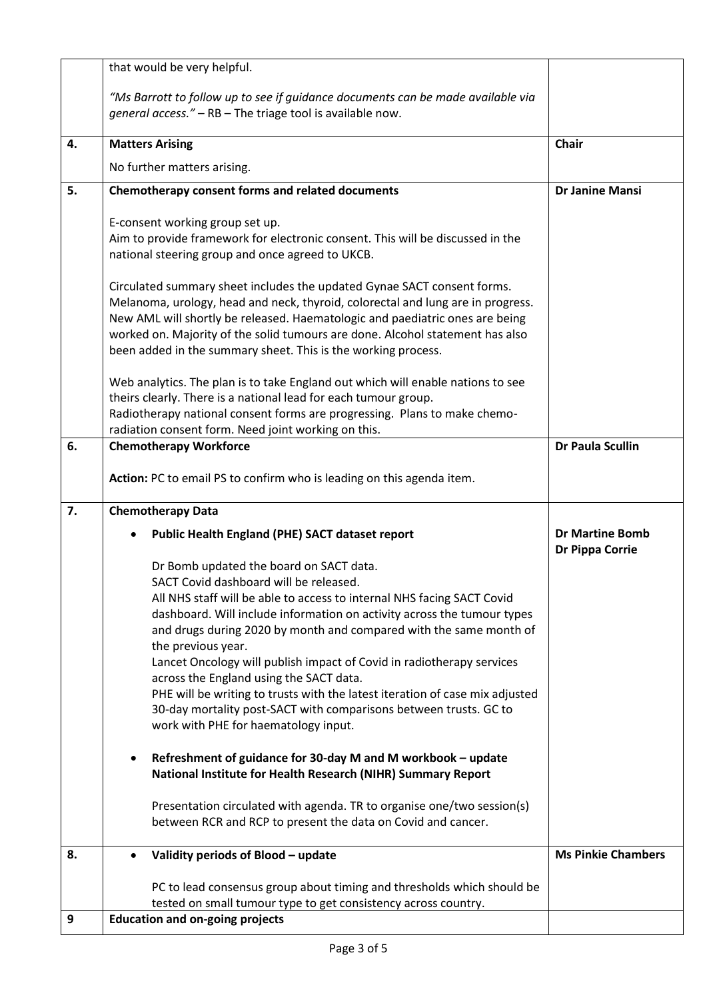|    | that would be very helpful.                                                                                                                                                                                                                                                                                                                                                                                                                                                                                                                                                                                                                         |                                                  |
|----|-----------------------------------------------------------------------------------------------------------------------------------------------------------------------------------------------------------------------------------------------------------------------------------------------------------------------------------------------------------------------------------------------------------------------------------------------------------------------------------------------------------------------------------------------------------------------------------------------------------------------------------------------------|--------------------------------------------------|
|    | "Ms Barrott to follow up to see if guidance documents can be made available via<br>general access." - RB - The triage tool is available now.                                                                                                                                                                                                                                                                                                                                                                                                                                                                                                        |                                                  |
| 4. | <b>Matters Arising</b>                                                                                                                                                                                                                                                                                                                                                                                                                                                                                                                                                                                                                              | <b>Chair</b>                                     |
|    | No further matters arising.                                                                                                                                                                                                                                                                                                                                                                                                                                                                                                                                                                                                                         |                                                  |
| 5. | Chemotherapy consent forms and related documents                                                                                                                                                                                                                                                                                                                                                                                                                                                                                                                                                                                                    | <b>Dr Janine Mansi</b>                           |
|    | E-consent working group set up.<br>Aim to provide framework for electronic consent. This will be discussed in the<br>national steering group and once agreed to UKCB.<br>Circulated summary sheet includes the updated Gynae SACT consent forms.<br>Melanoma, urology, head and neck, thyroid, colorectal and lung are in progress.<br>New AML will shortly be released. Haematologic and paediatric ones are being<br>worked on. Majority of the solid tumours are done. Alcohol statement has also<br>been added in the summary sheet. This is the working process.                                                                               |                                                  |
|    | Web analytics. The plan is to take England out which will enable nations to see<br>theirs clearly. There is a national lead for each tumour group.<br>Radiotherapy national consent forms are progressing. Plans to make chemo-<br>radiation consent form. Need joint working on this.                                                                                                                                                                                                                                                                                                                                                              |                                                  |
| 6. | <b>Chemotherapy Workforce</b>                                                                                                                                                                                                                                                                                                                                                                                                                                                                                                                                                                                                                       | <b>Dr Paula Scullin</b>                          |
|    | Action: PC to email PS to confirm who is leading on this agenda item.                                                                                                                                                                                                                                                                                                                                                                                                                                                                                                                                                                               |                                                  |
| 7. | <b>Chemotherapy Data</b>                                                                                                                                                                                                                                                                                                                                                                                                                                                                                                                                                                                                                            |                                                  |
|    | Public Health England (PHE) SACT dataset report                                                                                                                                                                                                                                                                                                                                                                                                                                                                                                                                                                                                     | <b>Dr Martine Bomb</b><br><b>Dr Pippa Corrie</b> |
|    | Dr Bomb updated the board on SACT data.<br>SACT Covid dashboard will be released.<br>All NHS staff will be able to access to internal NHS facing SACT Covid<br>dashboard. Will include information on activity across the tumour types<br>and drugs during 2020 by month and compared with the same month of<br>the previous year.<br>Lancet Oncology will publish impact of Covid in radiotherapy services<br>across the England using the SACT data.<br>PHE will be writing to trusts with the latest iteration of case mix adjusted<br>30-day mortality post-SACT with comparisons between trusts. GC to<br>work with PHE for haematology input. |                                                  |
|    | Refreshment of guidance for 30-day M and M workbook - update<br>National Institute for Health Research (NIHR) Summary Report<br>Presentation circulated with agenda. TR to organise one/two session(s)<br>between RCR and RCP to present the data on Covid and cancer.                                                                                                                                                                                                                                                                                                                                                                              |                                                  |
| 8. | Validity periods of Blood - update                                                                                                                                                                                                                                                                                                                                                                                                                                                                                                                                                                                                                  | <b>Ms Pinkie Chambers</b>                        |
| 9  | PC to lead consensus group about timing and thresholds which should be<br>tested on small tumour type to get consistency across country.<br><b>Education and on-going projects</b>                                                                                                                                                                                                                                                                                                                                                                                                                                                                  |                                                  |
|    |                                                                                                                                                                                                                                                                                                                                                                                                                                                                                                                                                                                                                                                     |                                                  |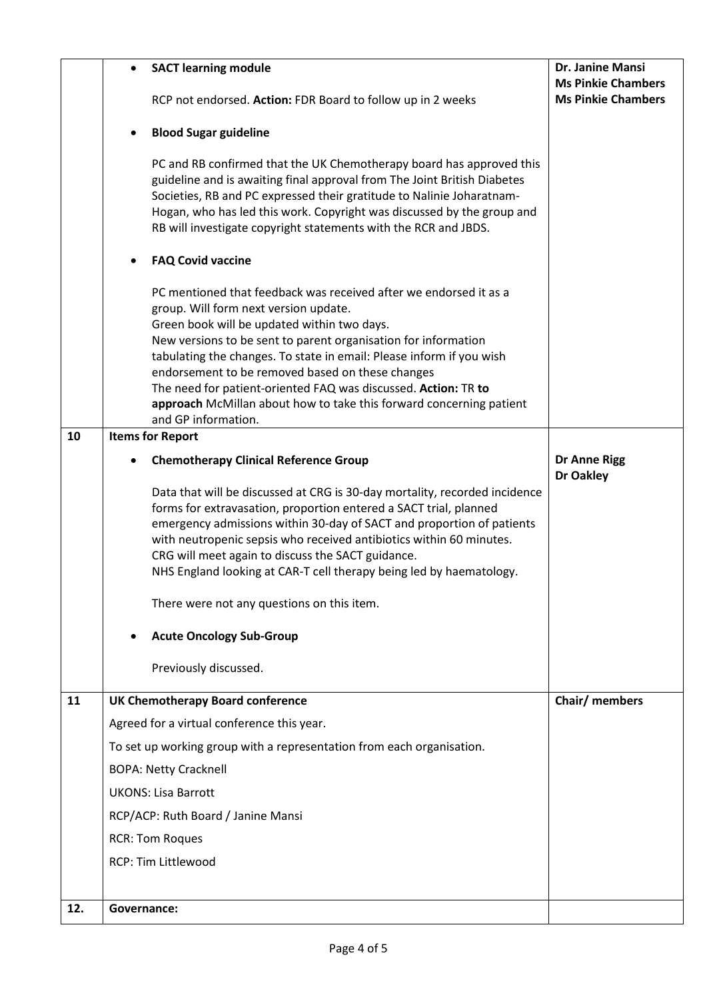|     | $\bullet$   | <b>SACT learning module</b><br>RCP not endorsed. Action: FDR Board to follow up in 2 weeks                                                                                                                                                                                                                                                                                                                                                                                                                              | Dr. Janine Mansi<br><b>Ms Pinkie Chambers</b><br><b>Ms Pinkie Chambers</b> |
|-----|-------------|-------------------------------------------------------------------------------------------------------------------------------------------------------------------------------------------------------------------------------------------------------------------------------------------------------------------------------------------------------------------------------------------------------------------------------------------------------------------------------------------------------------------------|----------------------------------------------------------------------------|
|     |             |                                                                                                                                                                                                                                                                                                                                                                                                                                                                                                                         |                                                                            |
|     | $\bullet$   | <b>Blood Sugar guideline</b>                                                                                                                                                                                                                                                                                                                                                                                                                                                                                            |                                                                            |
|     |             | PC and RB confirmed that the UK Chemotherapy board has approved this<br>guideline and is awaiting final approval from The Joint British Diabetes<br>Societies, RB and PC expressed their gratitude to Nalinie Joharatnam-<br>Hogan, who has led this work. Copyright was discussed by the group and<br>RB will investigate copyright statements with the RCR and JBDS.                                                                                                                                                  |                                                                            |
|     |             | <b>FAQ Covid vaccine</b>                                                                                                                                                                                                                                                                                                                                                                                                                                                                                                |                                                                            |
|     |             | PC mentioned that feedback was received after we endorsed it as a<br>group. Will form next version update.<br>Green book will be updated within two days.<br>New versions to be sent to parent organisation for information<br>tabulating the changes. To state in email: Please inform if you wish<br>endorsement to be removed based on these changes<br>The need for patient-oriented FAQ was discussed. Action: TR to<br>approach McMillan about how to take this forward concerning patient<br>and GP information. |                                                                            |
| 10  |             | <b>Items for Report</b>                                                                                                                                                                                                                                                                                                                                                                                                                                                                                                 |                                                                            |
|     |             | <b>Chemotherapy Clinical Reference Group</b>                                                                                                                                                                                                                                                                                                                                                                                                                                                                            | <b>Dr Anne Rigg</b>                                                        |
|     |             | Data that will be discussed at CRG is 30-day mortality, recorded incidence<br>forms for extravasation, proportion entered a SACT trial, planned<br>emergency admissions within 30-day of SACT and proportion of patients<br>with neutropenic sepsis who received antibiotics within 60 minutes.<br>CRG will meet again to discuss the SACT guidance.<br>NHS England looking at CAR-T cell therapy being led by haematology.                                                                                             | Dr Oakley                                                                  |
|     |             | There were not any questions on this item.                                                                                                                                                                                                                                                                                                                                                                                                                                                                              |                                                                            |
|     | $\bullet$   | <b>Acute Oncology Sub-Group</b>                                                                                                                                                                                                                                                                                                                                                                                                                                                                                         |                                                                            |
|     |             | Previously discussed.                                                                                                                                                                                                                                                                                                                                                                                                                                                                                                   |                                                                            |
| 11  |             | <b>UK Chemotherapy Board conference</b>                                                                                                                                                                                                                                                                                                                                                                                                                                                                                 | Chair/ members                                                             |
|     |             | Agreed for a virtual conference this year.                                                                                                                                                                                                                                                                                                                                                                                                                                                                              |                                                                            |
|     |             | To set up working group with a representation from each organisation.                                                                                                                                                                                                                                                                                                                                                                                                                                                   |                                                                            |
|     |             | <b>BOPA: Netty Cracknell</b>                                                                                                                                                                                                                                                                                                                                                                                                                                                                                            |                                                                            |
|     |             | <b>UKONS: Lisa Barrott</b>                                                                                                                                                                                                                                                                                                                                                                                                                                                                                              |                                                                            |
|     |             | RCP/ACP: Ruth Board / Janine Mansi                                                                                                                                                                                                                                                                                                                                                                                                                                                                                      |                                                                            |
|     |             | <b>RCR: Tom Roques</b>                                                                                                                                                                                                                                                                                                                                                                                                                                                                                                  |                                                                            |
|     |             | <b>RCP: Tim Littlewood</b>                                                                                                                                                                                                                                                                                                                                                                                                                                                                                              |                                                                            |
|     |             |                                                                                                                                                                                                                                                                                                                                                                                                                                                                                                                         |                                                                            |
| 12. | Governance: |                                                                                                                                                                                                                                                                                                                                                                                                                                                                                                                         |                                                                            |